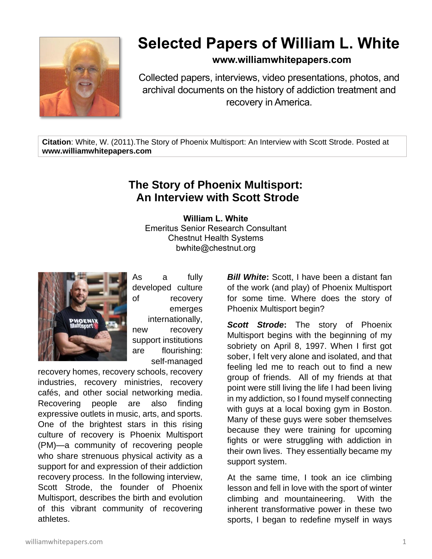

## **Selected Papers of William L. White**

## **www.williamwhitepapers.com**

Collected papers, interviews, video presentations, photos, and archival documents on the history of addiction treatment and recovery in America.

**Citation**: White, W. (2011).The Story of Phoenix Multisport: An Interview with Scott Strode. Posted at **www.williamwhitepapers.com**

## **The Story of Phoenix Multisport: An Interview with Scott Strode**

**William L. White** Emeritus Senior Research Consultant Chestnut Health Systems bwhite@chestnut.org



As a fully developed culture of recovery emerges internationally, new recovery support institutions are flourishing: self-managed

recovery homes, recovery schools, recovery industries, recovery ministries, recovery cafés, and other social networking media. Recovering people are also finding expressive outlets in music, arts, and sports. One of the brightest stars in this rising culture of recovery is Phoenix Multisport (PM)—a community of recovering people who share strenuous physical activity as a support for and expression of their addiction recovery process. In the following interview, Scott Strode, the founder of Phoenix Multisport, describes the birth and evolution of this vibrant community of recovering athletes.

*Bill White***:** Scott, I have been a distant fan of the work (and play) of Phoenix Multisport for some time. Where does the story of Phoenix Multisport begin?

*Scott Strode***:** The story of Phoenix Multisport begins with the beginning of my sobriety on April 8, 1997. When I first got sober, I felt very alone and isolated, and that feeling led me to reach out to find a new group of friends. All of my friends at that point were still living the life I had been living in my addiction, so I found myself connecting with guys at a local boxing gym in Boston. Many of these guys were sober themselves because they were training for upcoming fights or were struggling with addiction in their own lives. They essentially became my support system.

At the same time, I took an ice climbing lesson and fell in love with the sport of winter climbing and mountaineering. With the inherent transformative power in these two sports, I began to redefine myself in ways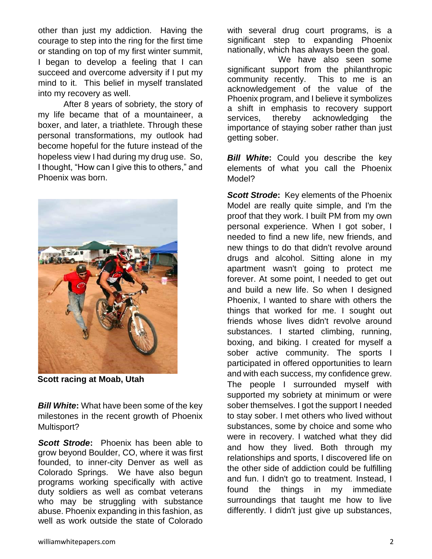other than just my addiction. Having the courage to step into the ring for the first time or standing on top of my first winter summit, I began to develop a feeling that I can succeed and overcome adversity if I put my mind to it. This belief in myself translated into my recovery as well.

After 8 years of sobriety, the story of my life became that of a mountaineer, a boxer, and later, a triathlete. Through these personal transformations, my outlook had become hopeful for the future instead of the hopeless view I had during my drug use. So, I thought, "How can I give this to others," and Phoenix was born.



**Scott racing at Moab, Utah**

**Bill White:** What have been some of the key milestones in the recent growth of Phoenix Multisport?

*Scott Strode***:** Phoenix has been able to grow beyond Boulder, CO, where it was first founded, to inner-city Denver as well as Colorado Springs. We have also begun programs working specifically with active duty soldiers as well as combat veterans who may be struggling with substance abuse. Phoenix expanding in this fashion, as well as work outside the state of Colorado

with several drug court programs, is a significant step to expanding Phoenix nationally, which has always been the goal.

We have also seen some significant support from the philanthropic community recently. This to me is an acknowledgement of the value of the Phoenix program, and I believe it symbolizes a shift in emphasis to recovery support services, thereby acknowledging the importance of staying sober rather than just getting sober.

**Bill White:** Could you describe the key elements of what you call the Phoenix Model?

*Scott Strode***:** Key elements of the Phoenix Model are really quite simple, and I'm the proof that they work. I built PM from my own personal experience. When I got sober, I needed to find a new life, new friends, and new things to do that didn't revolve around drugs and alcohol. Sitting alone in my apartment wasn't going to protect me forever. At some point, I needed to get out and build a new life. So when I designed Phoenix, I wanted to share with others the things that worked for me. I sought out friends whose lives didn't revolve around substances. I started climbing, running, boxing, and biking. I created for myself a sober active community. The sports I participated in offered opportunities to learn and with each success, my confidence grew. The people I surrounded myself with supported my sobriety at minimum or were sober themselves. I got the support I needed to stay sober. I met others who lived without substances, some by choice and some who were in recovery. I watched what they did and how they lived. Both through my relationships and sports, I discovered life on the other side of addiction could be fulfilling and fun. I didn't go to treatment. Instead, I found the things in my immediate surroundings that taught me how to live differently. I didn't just give up substances,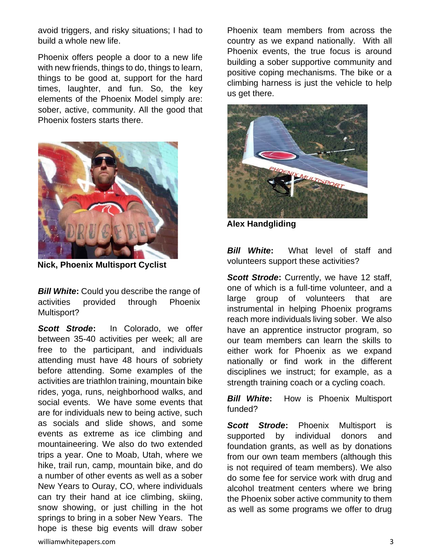avoid triggers, and risky situations; I had to build a whole new life.

Phoenix offers people a door to a new life with new friends, things to do, things to learn, things to be good at, support for the hard times, laughter, and fun. So, the key elements of the Phoenix Model simply are: sober, active, community. All the good that Phoenix fosters starts there.



**Nick, Phoenix Multisport Cyclist**

**Bill White:** Could you describe the range of activities provided through Phoenix Multisport?

*Scott Strode***:** In Colorado, we offer between 35-40 activities per week; all are free to the participant, and individuals attending must have 48 hours of sobriety before attending. Some examples of the activities are triathlon training, mountain bike rides, yoga, runs, neighborhood walks, and social events. We have some events that are for individuals new to being active, such as socials and slide shows, and some events as extreme as ice climbing and mountaineering. We also do two extended trips a year. One to Moab, Utah, where we hike, trail run, camp, mountain bike, and do a number of other events as well as a sober New Years to Ouray, CO, where individuals can try their hand at ice climbing, skiing, snow showing, or just chilling in the hot springs to bring in a sober New Years. The hope is these big events will draw sober

Phoenix team members from across the country as we expand nationally. With all Phoenix events, the true focus is around building a sober supportive community and positive coping mechanisms. The bike or a climbing harness is just the vehicle to help us get there.



**Alex Handgliding**

**Bill White:** What level of staff and volunteers support these activities?

**Scott Strode:** Currently, we have 12 staff, one of which is a full-time volunteer, and a large group of volunteers that are instrumental in helping Phoenix programs reach more individuals living sober. We also have an apprentice instructor program, so our team members can learn the skills to either work for Phoenix as we expand nationally or find work in the different disciplines we instruct; for example, as a strength training coach or a cycling coach.

*Bill White***:** How is Phoenix Multisport funded?

*Scott Strode***:** Phoenix Multisport is supported by individual donors and foundation grants, as well as by donations from our own team members (although this is not required of team members). We also do some fee for service work with drug and alcohol treatment centers where we bring the Phoenix sober active community to them as well as some programs we offer to drug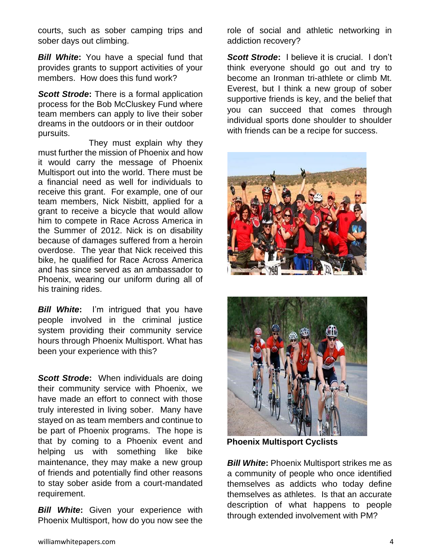courts, such as sober camping trips and sober days out climbing.

**Bill White:** You have a special fund that provides grants to support activities of your members. How does this fund work?

*Scott Strode***:** There is a formal application process for the Bob McCluskey Fund where team members can apply to live their sober dreams in the outdoors or in their outdoor pursuits.

They must explain why they must further the mission of Phoenix and how it would carry the message of Phoenix Multisport out into the world. There must be a financial need as well for individuals to receive this grant. For example, one of our team members, Nick Nisbitt, applied for a grant to receive a bicycle that would allow him to compete in Race Across America in the Summer of 2012. Nick is on disability because of damages suffered from a heroin overdose. The year that Nick received this bike, he qualified for Race Across America and has since served as an ambassador to Phoenix, wearing our uniform during all of his training rides.

**Bill White:** I'm intrigued that you have people involved in the criminal justice system providing their community service hours through Phoenix Multisport. What has been your experience with this?

*Scott Strode***:** When individuals are doing their community service with Phoenix, we have made an effort to connect with those truly interested in living sober. Many have stayed on as team members and continue to be part of Phoenix programs. The hope is that by coming to a Phoenix event and helping us with something like bike maintenance, they may make a new group of friends and potentially find other reasons to stay sober aside from a court-mandated requirement.

**Bill White:** Given your experience with Phoenix Multisport, how do you now see the role of social and athletic networking in addiction recovery?

*Scott Strode***:** I believe it is crucial. I don't think everyone should go out and try to become an Ironman tri-athlete or climb Mt. Everest, but I think a new group of sober supportive friends is key, and the belief that you can succeed that comes through individual sports done shoulder to shoulder with friends can be a recipe for success.





**Phoenix Multisport Cyclists**

**Bill White:** Phoenix Multisport strikes me as a community of people who once identified themselves as addicts who today define themselves as athletes. Is that an accurate description of what happens to people through extended involvement with PM?